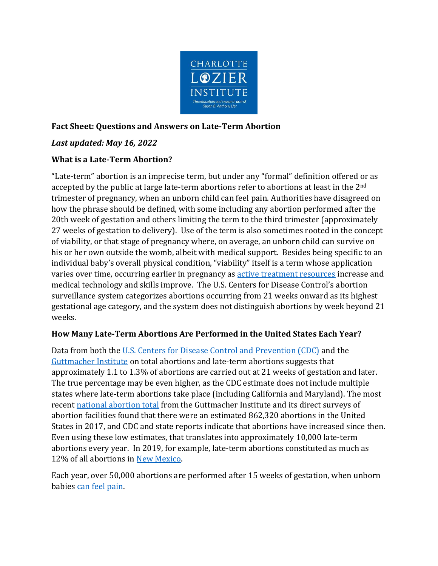

# **Fact Sheet: Questions and Answers on Late-Term Abortion**

# *Last updated: May 16, 2022*

# **What is a Late-Term Abortion?**

"Late-term" abortion is an imprecise term, but under any "formal" definition offered or as accepted by the public at large late-term abortions refer to abortions at least in the 2<sup>nd</sup> trimester of pregnancy, when an unborn child can feel pain. Authorities have disagreed on how the phrase should be defined, with some including any abortion performed after the 20th week of gestation and others limiting the term to the third trimester (approximately 27 weeks of gestation to delivery). Use of the term is also sometimes rooted in the concept of viability, or that stage of pregnancy where, on average, an unborn child can survive on his or her own outside the womb, albeit with medical support. Besides being specific to an individual baby's overall physical condition, "viability" itself is a term whose application varies over time, occurring earlier in pregnancy as [active treatment resources](https://lozierinstitute.org/fact-sheet-fetal-survival-and-risk-of-pregnancy-loss/) increase and medical technology and skills improve. The U.S. Centers for Disease Control's abortion surveillance system categorizes abortions occurring from 21 weeks onward as its highest gestational age category, and the system does not distinguish abortions by week beyond 21 weeks.

### **How Many Late-Term Abortions Are Performed in the United States Each Year?**

Data from both the [U.S. Centers for Disease Control and Prevention \(CDC\)](https://www.cdc.gov/mmwr/volumes/70/ss/ss7009a1.htm#T11_down) and the [Guttmacher Institute](https://www.guttmacher.org/fact-sheet/induced-abortion-united-states) on total abortions and late-term abortions suggests that approximately 1.1 to 1.3% of abortions are carried out at 21 weeks of gestation and later. The true percentage may be even higher, as the CDC estimate does not include multiple states where late-term abortions take place (including California and Maryland). The most recent [national abortion total](https://www.guttmacher.org/sites/default/files/report_pdf/abortion-incidence-service-availability-us-2017.pdf) from the Guttmacher Institute and its direct surveys of abortion facilities found that there were an estimated 862,320 abortions in the United States in 2017, and CDC and state reports indicate that abortions have increased since then. Even using these low estimates, that translates into approximately 10,000 late-term abortions every year. In 2019, for example, late-term abortions constituted as much as 12% of all abortions in [New Mexico.](https://www.cdc.gov/mmwr/volumes/70/ss/ss7009a1.htm#T10_down)

Each year, over 50,000 abortions are performed after 15 weeks of gestation, when unborn babies [can feel pain.](https://lozierinstitute.org/15-facts-at-15-weeks/)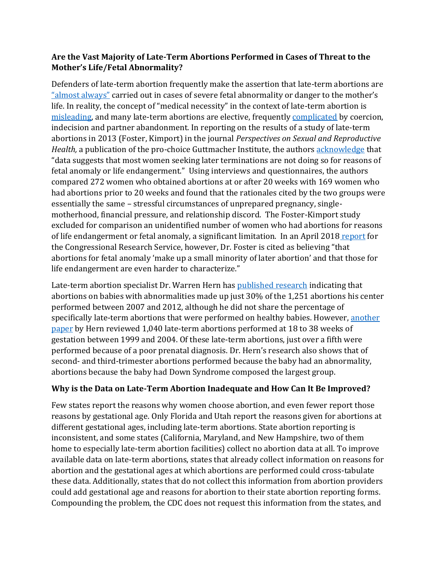### **Are the Vast Majority of Late-Term Abortions Performed in Cases of Threat to the Mother's Life/Fetal Abnormality?**

Defenders of late-term abortion frequently make the assertion that late-term abortions are ["almost always"](https://drjengunter.wordpress.com/2016/10/20/donald-trump-confuses-birth-with-abortion-and-no-there-are-no-ninth-month-abortions/) carried out in cases of severe fetal abnormality or danger to the mother's life. In reality, the concept of "medical necessity" in the context of late-term abortion is [misleading,](https://journals.sagepub.com/doi/full/10.1177/2333392819841781) and many late-term abortions are elective, frequently [complicated](https://www.guttmacher.org/sites/default/files/pdfs/pubs/2006/10/17/Contraception74-4-334_Finer.pdf) by coercion, indecision and partner abandonment. In reporting on the results of a study of late-term abortions in 2013 (Foster, Kimport) in the journal *Perspectives on Sexual and Reproductive Health,* a publication of the pro-choice Guttmacher Institute, the author[s acknowledge](https://lozierinstitute.org/the-reality-of-late-term-abortion-procedures/) that "data suggests that most women seeking later terminations are not doing so for reasons of fetal anomaly or life endangerment." Using interviews and questionnaires, the authors compared 272 women who obtained abortions at or after 20 weeks with 169 women who had abortions prior to 20 weeks and found that the rationales cited by the two groups were essentially the same – stressful circumstances of unprepared pregnancy, singlemotherhood, financial pressure, and relationship discord. The Foster-Kimport study excluded for comparison an unidentified number of women who had abortions for reasons of life endangerment or fetal anomaly, a significant limitation. In an April 2018 [report](https://fas.org/sgp/crs/misc/R45161.pdf) for the Congressional Research Service, however, Dr. Foster is cited as believing "that abortions for fetal anomaly 'make up a small minority of later abortion' and that those for life endangerment are even harder to characterize."

Late-term abortion specialist Dr. Warren Hern has [published research](https://pubmed.ncbi.nlm.nih.gov/24424620/) indicating that abortions on babies with abnormalities made up just 30% of the 1,251 abortions his center performed between 2007 and 2012, although he did not share the percentage of specifically late-term abortions that were performed on healthy babies. However, another [paper](https://www.drhern.com/wp-content/uploads/2018/05/IJGO-2005-misoprostol.pdf) by Hern reviewed 1,040 late-term abortions performed at 18 to 38 weeks of gestation between 1999 and 2004. Of these late-term abortions, just over a fifth were performed because of a poor prenatal diagnosis. Dr. Hern's research also shows that of second- and third-trimester abortions performed because the baby had an abnormality, abortions because the baby had Down Syndrome composed the largest group.

### **Why is the Data on Late-Term Abortion Inadequate and How Can It Be Improved?**

Few states report the reasons why women choose abortion, and even fewer report those reasons by gestational age. Only Florida and Utah report the reasons given for abortions at different gestational ages, including late-term abortions. State abortion reporting is inconsistent, and some states (California, Maryland, and New Hampshire, two of them home to especially late-term abortion facilities) collect no abortion data at all. To improve available data on late-term abortions, states that already collect information on reasons for abortion and the gestational ages at which abortions are performed could cross-tabulate these data. Additionally, states that do not collect this information from abortion providers could add gestational age and reasons for abortion to their state abortion reporting forms. Compounding the problem, the CDC does not request this information from the states, and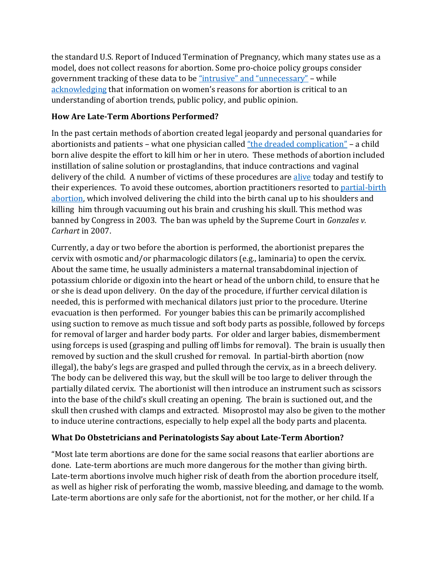the standard U.S. Report of Induced Termination of Pregnancy, which many states use as a model, does not collect reasons for abortion. Some pro-choice policy groups consider government tracking of these data to be ["intrusive" and "unnecessary"](https://www.guttmacher.org/gpr/2015/06/abortion-reporting-promoting-public-health-not-politics) – while [acknowledging](https://www.guttmacher.org/journals/psrh/2005/reasons-us-women-have-abortions-quantitative-and-qualitative-perspectives) that information on women's reasons for abortion is critical to an understanding of abortion trends, public policy, and public opinion.

# **How Are Late-Term Abortions Performed?**

In the past certain methods of abortion created legal jeopardy and personal quandaries for abortionists and patients – what one physician called ["the dreaded complication"](https://www.govinfo.gov/content/pkg/GPO-CHRG-OCONNOR/pdf/GPO-CHRG-OCONNOR-5-5.pdf) – a child born alive despite the effort to kill him or her in utero. These methods of abortion included instillation of saline solution or prostaglandins, that induce contractions and vaginal delivery of the child. A number of victims of these procedures are [alive](https://theabortionsurvivors.com/) today and testify to their experiences. To avoid these outcomes, abortion practitioners resorted to [partial-birth](https://lozierinstitute.org/does-banning-abortions-after-15-weeks-make-any-sense/)  [abortion,](https://lozierinstitute.org/does-banning-abortions-after-15-weeks-make-any-sense/) which involved delivering the child into the birth canal up to his shoulders and killing him through vacuuming out his brain and crushing his skull. This method was banned by Congress in 2003. The ban was upheld by the Supreme Court in *Gonzales v. Carhart* in 2007.

Currently, a day or two before the abortion is performed, the abortionist prepares the cervix with osmotic and/or pharmacologic dilators (e.g., laminaria) to open the cervix. About the same time, he usually administers a maternal transabdominal injection of potassium chloride or digoxin into the heart or head of the unborn child, to ensure that he or she is dead upon delivery. On the day of the procedure, if further cervical dilation is needed, this is performed with mechanical dilators just prior to the procedure. Uterine evacuation is then performed. For younger babies this can be primarily accomplished using suction to remove as much tissue and soft body parts as possible, followed by forceps for removal of larger and harder body parts. For older and larger babies, dismemberment using forceps is used (grasping and pulling off limbs for removal). The brain is usually then removed by suction and the skull crushed for removal. In partial-birth abortion (now illegal), the baby's legs are grasped and pulled through the cervix, as in a breech delivery. The body can be delivered this way, but the skull will be too large to deliver through the partially dilated cervix. The abortionist will then introduce an instrument such as scissors into the base of the child's skull creating an opening. The brain is suctioned out, and the skull then crushed with clamps and extracted. Misoprostol may also be given to the mother to induce uterine contractions, especially to help expel all the body parts and placenta.

# **What Do Obstetricians and Perinatologists Say about Late-Term Abortion?**

"Most late term abortions are done for the same social reasons that earlier abortions are done. Late-term abortions are much more dangerous for the mother than giving birth. Late-term abortions involve much higher risk of death from the abortion procedure itself, as well as higher risk of perforating the womb, massive bleeding, and damage to the womb. Late-term abortions are only safe for the abortionist, not for the mother, or her child. If a